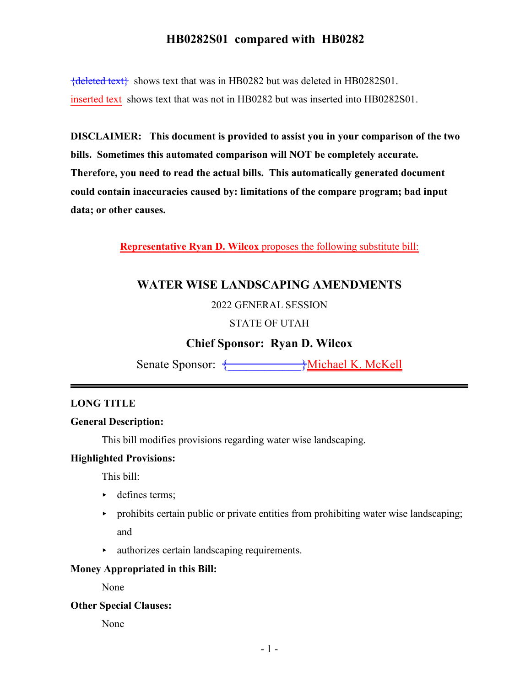${deleted text}$  shows text that was in HB0282 but was deleted in HB0282S01. inserted text shows text that was not in HB0282 but was inserted into HB0282S01.

**DISCLAIMER: This document is provided to assist you in your comparison of the two bills. Sometimes this automated comparison will NOT be completely accurate. Therefore, you need to read the actual bills. This automatically generated document could contain inaccuracies caused by: limitations of the compare program; bad input data; or other causes.**

**Representative Ryan D. Wilcox** proposes the following substitute bill:

## **WATER WISE LANDSCAPING AMENDMENTS**

2022 GENERAL SESSION

### STATE OF UTAH

### **Chief Sponsor: Ryan D. Wilcox**

Senate Sponsor: {\_\_\_\_\_\_\_\_\_\_\_\_}Michael K. McKell

### **LONG TITLE**

#### **General Description:**

This bill modifies provisions regarding water wise landscaping.

#### **Highlighted Provisions:**

This bill:

- defines terms;
- $\rightarrow$  prohibits certain public or private entities from prohibiting water wise landscaping; and
- < authorizes certain landscaping requirements.

#### **Money Appropriated in this Bill:**

None

#### **Other Special Clauses:**

None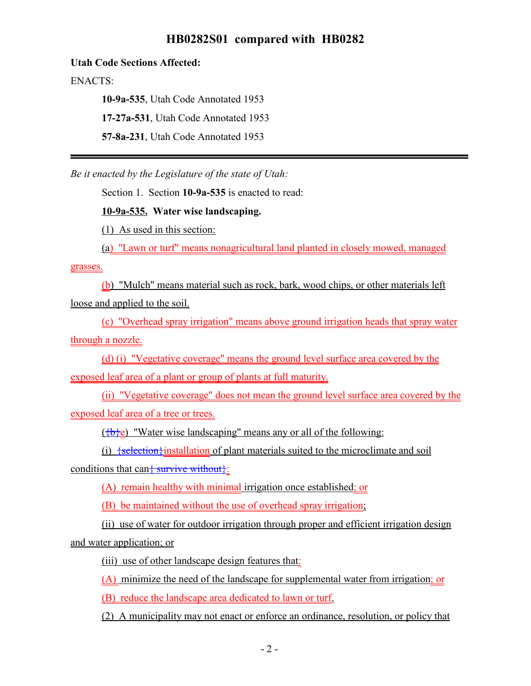#### **Utah Code Sections Affected:**

ENACTS:

**10-9a-535**, Utah Code Annotated 1953

**17-27a-531**, Utah Code Annotated 1953

**57-8a-231**, Utah Code Annotated 1953

*Be it enacted by the Legislature of the state of Utah:*

Section 1. Section **10-9a-535** is enacted to read:

**10-9a-535. Water wise landscaping.**

(1) As used in this section:

(a) "Lawn or turf" means nonagricultural land planted in closely mowed, managed

grasses.

(b) "Mulch" means material such as rock, bark, wood chips, or other materials left loose and applied to the soil.

(c) "Overhead spray irrigation" means above ground irrigation heads that spray water through a nozzle.

(d) (i) "Vegetative coverage" means the ground level surface area covered by the exposed leaf area of a plant or group of plants at full maturity.

(ii) "Vegetative coverage" does not mean the ground level surface area covered by the exposed leaf area of a tree or trees.

 $({b \}e)$  "Water wise landscaping" means any or all of the following:

(i)  $\frac{1}{1}$   $\frac{1}{1}$   $\frac{1}{1}$   $\frac{1}{1}$   $\frac{1}{1}$   $\frac{1}{1}$   $\frac{1}{1}$   $\frac{1}{1}$   $\frac{1}{1}$   $\frac{1}{1}$   $\frac{1}{1}$   $\frac{1}{1}$   $\frac{1}{1}$   $\frac{1}{1}$   $\frac{1}{1}$   $\frac{1}{1}$   $\frac{1}{1}$   $\frac{1}{1}$   $\frac{1}{1}$   $\frac{1}{1}$   $\frac{1}{1}$   $\frac{1}{1$ 

conditions that can { survive without }:

(A) remain healthy with minimal irrigation once established; or

(B) be maintained without the use of overhead spray irrigation;

(ii) use of water for outdoor irrigation through proper and efficient irrigation design and water application; or

(iii) use of other landscape design features that:

(A) minimize the need of the landscape for supplemental water from irrigation; or

(B) reduce the landscape area dedicated to lawn or turf.

(2) A municipality may not enact or enforce an ordinance, resolution, or policy that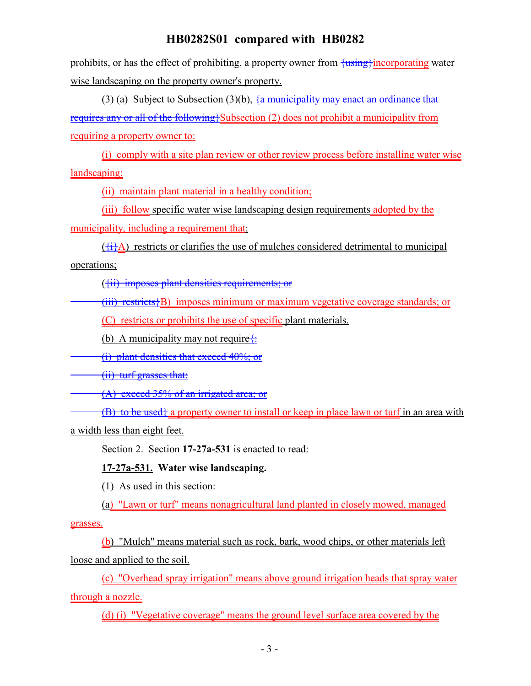prohibits, or has the effect of prohibiting, a property owner from  $\frac{1}{2}$  incorporating water wise landscaping on the property owner's property.

(3) (a) Subject to Subsection (3)(b),  $\frac{1}{4}$  municipality may enact an ordinance that requires any or all of the following}Subsection (2) does not prohibit a municipality from requiring a property owner to:

(i) comply with a site plan review or other review process before installing water wise landscaping;

(ii) maintain plant material in a healthy condition;

(iii) follow specific water wise landscaping design requirements adopted by the municipality, including a requirement that:

 $({}^{+1}_{+1}A)$  restricts or clarifies the use of mulches considered detrimental to municipal operations;

({ii) imposes plant densities requirements; or

 $(iii)$  restricts $\{B\}$  imposes minimum or maximum vegetative coverage standards; or

(C) restricts or prohibits the use of specific plant materials.

(b) A municipality may not require $\frac{1}{x}$ 

(i) plant densities that exceed 40%; or

(ii) turf grasses that:

(A) exceed 35% of an irrigated area; or

(B) to be used<sub>t</sub> a property owner to install or keep in place lawn or turf in an area with

a width less than eight feet.

Section 2. Section **17-27a-531** is enacted to read:

### **17-27a-531. Water wise landscaping.**

(1) As used in this section:

(a) "Lawn or turf" means nonagricultural land planted in closely mowed, managed

grasses.

(b) "Mulch" means material such as rock, bark, wood chips, or other materials left loose and applied to the soil.

(c) "Overhead spray irrigation" means above ground irrigation heads that spray water through a nozzle.

(d) (i) "Vegetative coverage" means the ground level surface area covered by the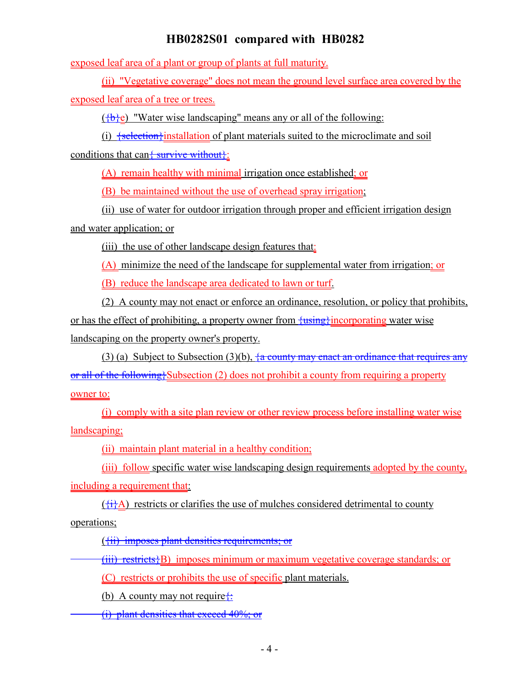exposed leaf area of a plant or group of plants at full maturity.

(ii) "Vegetative coverage" does not mean the ground level surface area covered by the

exposed leaf area of a tree or trees.

 $(\frac{1}{2}, \frac{1}{2})$  "Water wise landscaping" means any or all of the following:

(i)  $\frac{1}{1}$   $\frac{1}{1}$   $\frac{1}{1}$   $\frac{1}{1}$   $\frac{1}{1}$   $\frac{1}{1}$   $\frac{1}{1}$   $\frac{1}{1}$   $\frac{1}{1}$   $\frac{1}{1}$   $\frac{1}{1}$   $\frac{1}{1}$   $\frac{1}{1}$   $\frac{1}{1}$   $\frac{1}{1}$   $\frac{1}{1}$   $\frac{1}{1}$   $\frac{1}{1}$   $\frac{1}{1}$   $\frac{1}{1}$   $\frac{1}{1}$   $\frac{1}{1$ 

conditions that can  $\frac{1}{2}$  survive without  $\}$ :

(A) remain healthy with minimal irrigation once established; or

(B) be maintained without the use of overhead spray irrigation;

(ii) use of water for outdoor irrigation through proper and efficient irrigation design and water application; or

(iii) the use of other landscape design features that:

(A) minimize the need of the landscape for supplemental water from irrigation; or

(B) reduce the landscape area dedicated to lawn or turf.

(2) A county may not enact or enforce an ordinance, resolution, or policy that prohibits, or has the effect of prohibiting, a property owner from  $\frac{\{using\}}{\{using\}}$  incorporating water wise landscaping on the property owner's property.

(3) (a) Subject to Subsection (3)(b),  $\frac{1}{4}$  county may enact an ordinance that requires any or all of the following}Subsection (2) does not prohibit a county from requiring a property owner to:

(i) comply with a site plan review or other review process before installing water wise landscaping;

(ii) maintain plant material in a healthy condition;

(iii) follow specific water wise landscaping design requirements adopted by the county, including a requirement that:

 $({}^{+1}_{+1}A)$  restricts or clarifies the use of mulches considered detrimental to county operations;

({ii) imposes plant densities requirements; or

 $(iii)$  restricts $\{B\}$  imposes minimum or maximum vegetative coverage standards; or

(C) restricts or prohibits the use of specific plant materials.

(b) A county may not require $\ddot{\mathbf{t}}$ :

(i) plant densities that exceed 40%; or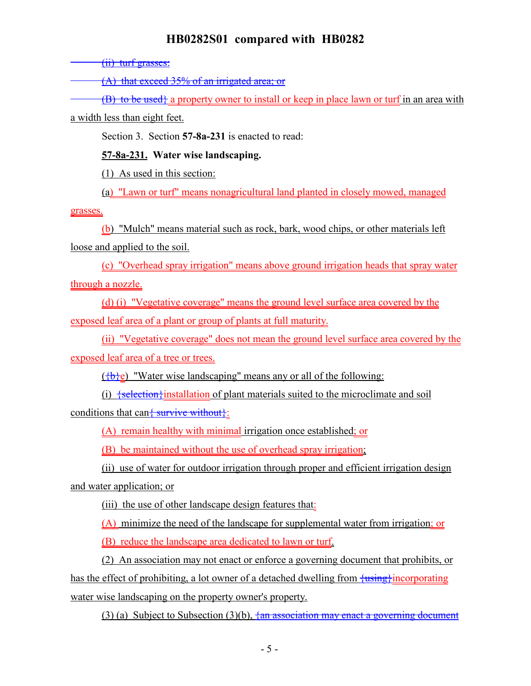(ii) turf grasses:

(A) that exceed 35% of an irrigated area; or

 $(B)$  to be used; a property owner to install or keep in place lawn or turf in an area with

a width less than eight feet.

Section 3. Section **57-8a-231** is enacted to read:

**57-8a-231. Water wise landscaping.**

(1) As used in this section:

(a) "Lawn or turf" means nonagricultural land planted in closely mowed, managed

grasses.

(b) "Mulch" means material such as rock, bark, wood chips, or other materials left loose and applied to the soil.

(c) "Overhead spray irrigation" means above ground irrigation heads that spray water through a nozzle.

(d) (i) "Vegetative coverage" means the ground level surface area covered by the exposed leaf area of a plant or group of plants at full maturity.

(ii) "Vegetative coverage" does not mean the ground level surface area covered by the exposed leaf area of a tree or trees.

 $(\{\mathbf{b}\}\mathbf{e})$  "Water wise landscaping" means any or all of the following:

(i)  $\frac{1}{1}$   $\frac{1}{1}$   $\frac{1}{1}$   $\frac{1}{1}$   $\frac{1}{1}$   $\frac{1}{1}$   $\frac{1}{1}$   $\frac{1}{1}$   $\frac{1}{1}$   $\frac{1}{1}$   $\frac{1}{1}$   $\frac{1}{1}$   $\frac{1}{1}$   $\frac{1}{1}$   $\frac{1}{1}$   $\frac{1}{1}$   $\frac{1}{1}$   $\frac{1}{1}$   $\frac{1}{1}$   $\frac{1}{1}$   $\frac{1}{1}$   $\frac{1}{1$ conditions that can  $\frac{1}{2}$  survive without  $\}$ :

(A) remain healthy with minimal irrigation once established; or

(B) be maintained without the use of overhead spray irrigation;

(ii) use of water for outdoor irrigation through proper and efficient irrigation design

and water application; or

(iii) the use of other landscape design features that:

(A) minimize the need of the landscape for supplemental water from irrigation; or

(B) reduce the landscape area dedicated to lawn or turf.

(2) An association may not enact or enforce a governing document that prohibits, or has the effect of prohibiting, a lot owner of a detached dwelling from  $\frac{\{using\}}{\{using\}}$  incorporating water wise landscaping on the property owner's property.

(3) (a) Subject to Subsection (3)(b),  $\frac{1}{2}$  association may enact a governing document